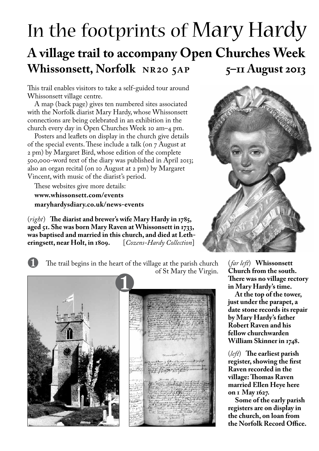## In the footprints of Mary Hardy **A village trail to accompany Open Churches Week Whissonsett, Norfolk NR20 5AP 5–11 August 2013**

This trail enables visitors to take a self-guided tour around Whissonsett village centre.

A map (back page) gives ten numbered sites associated with the Norfolk diarist Mary Hardy, whose Whissonsett connections are being celebrated in an exhibition in the church every day in Open Churches Week 10 am–4 pm.

Posters and leaflets on display in the church give details of the special events. These include a talk (on 7 August at 2 pm) by Margaret Bird, whose edition of the complete 500,000-word text of the diary was published in April 2013; also an organ recital (on 10 August at 2 pm) by Margaret Vincent, with music of the diarist's period.

These websites give more details: **www.whissonsett.com/events maryhardysdiary.co.uk/news-events**

(*right*) **The diarist and brewer's wife Mary Hardy in 1785, aged 51. She was born Mary Raven at Whissonsett in 1733,**  was baptised and married in this church, and died at Letheringsett, near Holt, in 1809. [Cozens-Hardy Collection] **eringsett, near Holt, in 1809.** [*Cozens-Hardy Collection*]





The trail begins in the heart of the village at the parish church of St Mary the Virgin.



(*far left*) **Whissonsett Church from the south. There was no village rectory in Mary Hardy's time.** 

**At the top of the tower, just under the parapet, a date stone records its repair by Mary Hardy's father Robert Raven and his fellow churchwarden William Skinner in 1748.**

(*left*) **The earliest parish register, showing the first Raven recorded in the village: Thomas Raven married Ellen Heye here on 1 May 1627.** 

**Some of the early parish registers are on display in the church, on loan from the Norfolk Record Office.**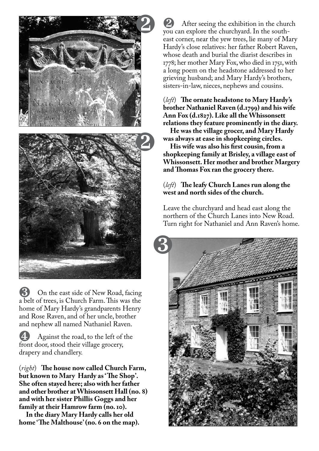

On the east side of New Road, facing a belt of trees, is Church Farm. This was the home of Mary Hardy's grandparents Henry and Rose Raven, and of her uncle, brother and nephew all named Nathaniel Raven.

 $\overline{4}$  Against the road, to the left of the front door, stood their village grocery, drapery and chandlery.

(*right*) **The house now called Church Farm, but known to Mary Hardy as ' The Shop'. She often stayed here; also with her father and other brother at Whissonsett Hall (no. 8) and with her sister Phillis Goggs and her family at their Hamrow farm (no. 10).**

**In the diary Mary Hardy calls her old home 'The Malthouse' (no. 6 on the map).**

After seeing the exhibition in the church you can explore the churchyard. In the southeast corner, near the yew trees, lie many of Mary Hardy's close relatives: her father Robert Raven, whose death and burial the diarist describes in 1778; her mother Mary Fox, who died in 1751, with a long poem on the headstone addressed to her grieving husband; and Mary Hardy's brothers, sisters-in-law, nieces, nephews and cousins.

(*left*) **The ornate headstone to Mary Hardy's brother Nathaniel Raven (d.1799) and his wife Ann Fox (d.1827). Like all the Whissonsett relations they feature prominently in the diary.** 

**He was the village grocer, and Mary Hardy was always at ease in shopkeeping circles.** 

**His wife was also his first cousin, from a shopkeeping family at Brisley, a village east of Whissonsett. Her mother and brother Margery and Thomas Fox ran the grocery there.**

## (*left*) **The leafy Church Lanes run along the west and north sides of the church.**

Leave the churchyard and head east along the northern of the Church Lanes into New Road. Turn right for Nathaniel and Ann Raven's home.

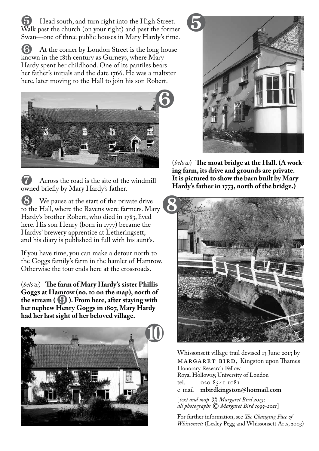Head south, and turn right into the High Street. Walk past the church (on your right) and past the former Swan—one of three public houses in Mary Hardy's time.

(b) At the corner by London Street is the long house known in the 18th century as Gurneys, where Mary Hardy spent her childhood. One of its pantiles bears her father's initials and the date 1766. He was a maltster here, later moving to the Hall to join his son Robert.



Across the road is the site of the windmill owned briefly by Mary Hardy's father.

½ We pause at the start of the private drive to the Hall, where the Ravens were farmers. Mary Hardy's brother Robert, who died in 1783, lived here. His son Henry (born in 1777) became the Hardys' brewery apprentice at Letheringsett, and his diary is published in full with his aunt's.

If you have time, you can make a detour north to the Goggs family's farm in the hamlet of Hamrow. Otherwise the tour ends here at the crossroads.

(*below*) **The farm of Mary Hardy's sister Phillis Goggs at Hamrow (no. 10 on the map), north of the stream (**¾**). From here, after staying with her nephew Henry Goggs in 1807, Mary Hardy had her last sight of her beloved village.**





(*below*) **The moat bridge at the Hall. (A working farm, its drive and grounds are private. It is pictured to show the barn built by Mary Hardy's father in 1773, north of the bridge.)**



Whissonsett village trail devised 13 June 2013 by MARGARET BIRD, Kingston upon Thames Honorary Research Fellow Royal Holloway, University of London tel. 020 8541 1081 e-mail **mbirdkingston@hotmail.com**

[*text and map* © *Margaret Bird 2013; all photographs* © *Margaret Bird 1995–2011*]

For further information, see *The Changing Face of Whissonsett* (Lesley Pegg and Whissonsett Arts, 2003)